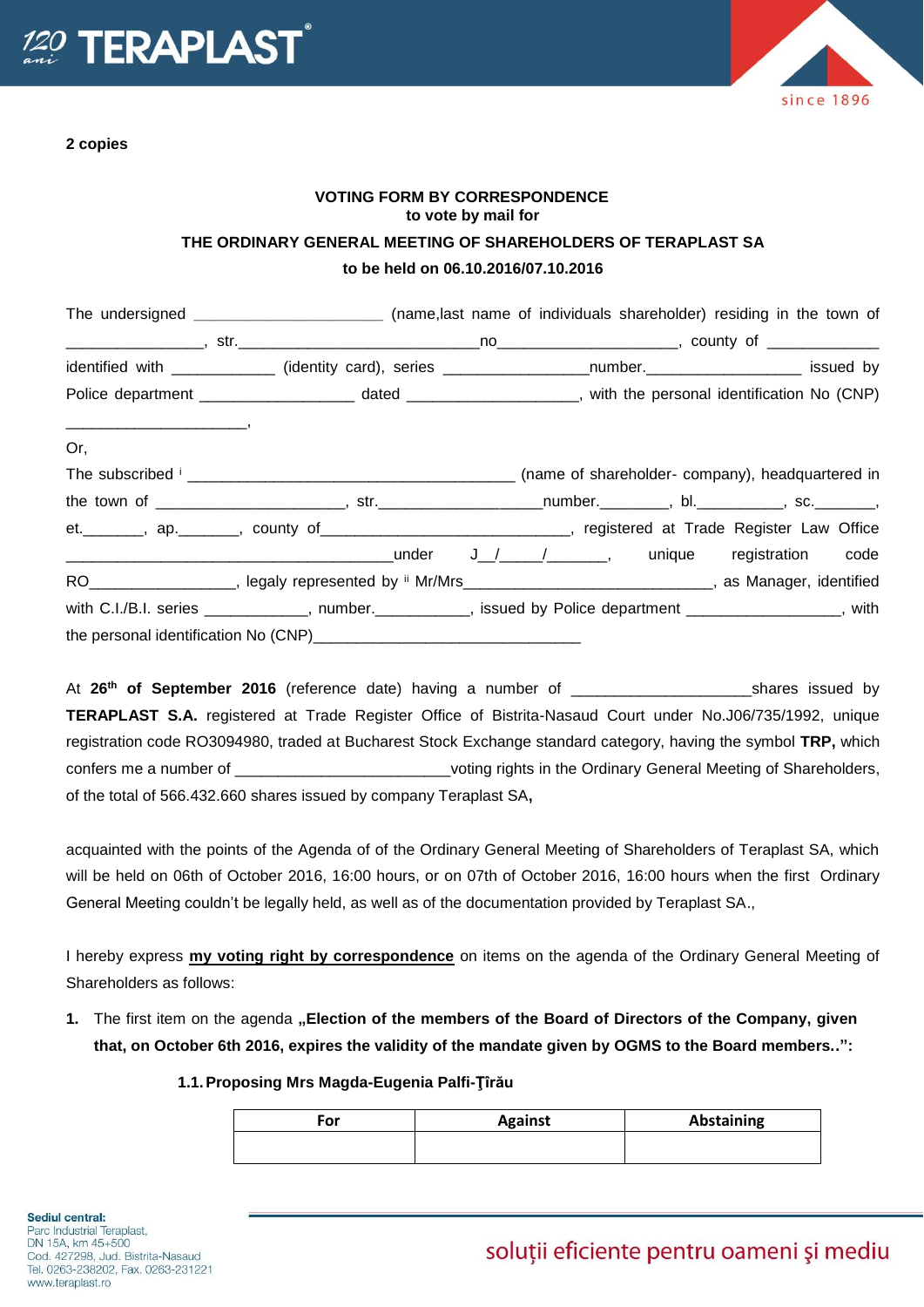



## **VOTING FORM BY CORRESPONDENCE to vote by mail for THE ORDINARY GENERAL MEETING OF SHAREHOLDERS OF TERAPLAST SA to be held on 06.10.2016/07.10.2016**

|     | The undersigned __________________________(name,last name of individuals shareholder) residing in the town of   |  |  |
|-----|-----------------------------------------------------------------------------------------------------------------|--|--|
|     |                                                                                                                 |  |  |
|     | identified with _____________ (identity card), series ___________________number._____________________ issued by |  |  |
|     |                                                                                                                 |  |  |
| Or, |                                                                                                                 |  |  |
|     |                                                                                                                 |  |  |
|     |                                                                                                                 |  |  |
|     | et. _______, ap. ______, county of _____________________________, registered at Trade Register Law Office       |  |  |
|     |                                                                                                                 |  |  |
|     | RO___________________, legaly represented by " Mr/Mrs____________________________, as Manager, identified       |  |  |
|     | with C.I./B.I. series ____________, number._________, issued by Police department ______________, with          |  |  |
|     |                                                                                                                 |  |  |

At **26 th of September 2016** (reference date) having a number of \_\_\_\_\_\_\_\_\_\_\_\_\_\_\_\_\_\_\_\_\_shares issued by **TERAPLAST S.A.** registered at Trade Register Office of Bistrita-Nasaud Court under No.J06/735/1992, unique registration code RO3094980, traded at Bucharest Stock Exchange standard category, having the symbol **TRP,** which confers me a number of \_\_\_\_\_\_\_\_\_\_\_\_\_\_\_\_\_\_\_\_\_\_\_\_\_\_\_voting rights in the Ordinary General Meeting of Shareholders, of the total of 566.432.660 shares issued by company Teraplast SA**,**

acquainted with the points of the Agenda of of the Ordinary General Meeting of Shareholders of Teraplast SA, which will be held on 06th of October 2016, 16:00 hours, or on 07th of October 2016, 16:00 hours when the first Ordinary General Meeting couldn't be legally held, as well as of the documentation provided by Teraplast SA.,

I hereby express **my voting right by correspondence** on items on the agenda of the Ordinary General Meeting of Shareholders as follows:

**1.** The first item on the agenda **"Election of the members of the Board of Directors of the Company, given that, on October 6th 2016, expires the validity of the mandate given by OGMS to the Board members..":**

## **1.1.Proposing Mrs Magda-Eugenia Palfi-Ţîrău**

| ™or | <b>Against</b> | Abstaining |
|-----|----------------|------------|
|     |                |            |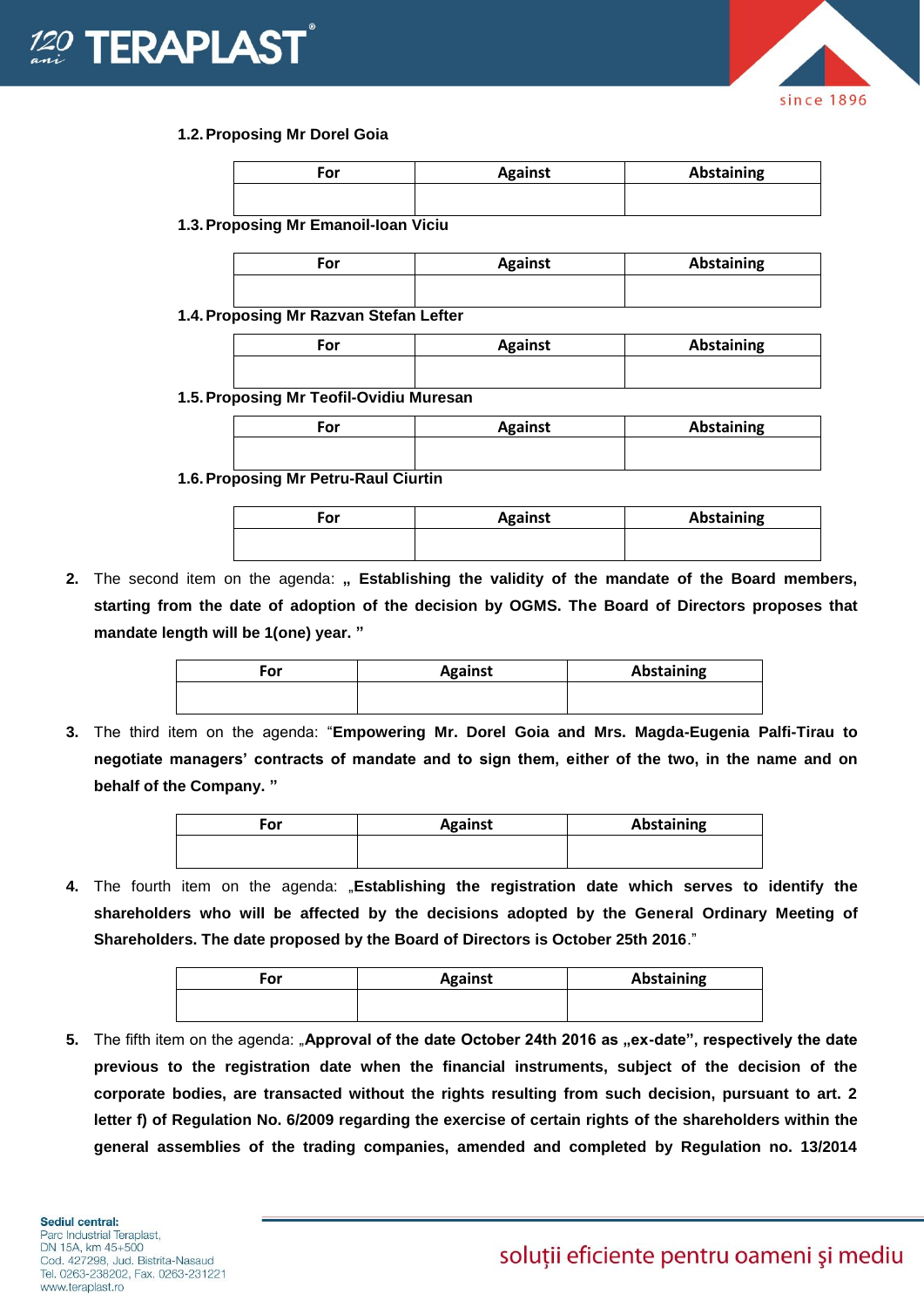## **ERAPLAS**



## **1.2.Proposing Mr Dorel Goia**

| For | <b>Against</b> | <b>Abstaining</b> |
|-----|----------------|-------------------|
|     |                |                   |

**1.3.Proposing Mr Emanoil-Ioan Viciu**

| For                                    | <b>Against</b> | Abstaining |
|----------------------------------------|----------------|------------|
|                                        |                |            |
| 1.4. Proposing Mr Razvan Stefan Lefter |                |            |

**For Against Abstaining**

**1.5.Proposing Mr Teofil-Ovidiu Muresan**

| ∙or | <b>Against</b> | Abstaining |
|-----|----------------|------------|
|     |                |            |

**1.6.Proposing Mr Petru-Raul Ciurtin**

| For | <b>Against</b> | Abstaining |
|-----|----------------|------------|
|     |                |            |

2. The second item on the agenda: " Establishing the validity of the mandate of the Board members, **starting from the date of adoption of the decision by OGMS. The Board of Directors proposes that mandate length will be 1(one) year. "**

| For | <b>Against</b> | Abstaining |
|-----|----------------|------------|
|     |                |            |

**3.** The third item on the agenda: "**Empowering Mr. Dorel Goia and Mrs. Magda-Eugenia Palfi-Tirau to negotiate managers' contracts of mandate and to sign them, either of the two, in the name and on behalf of the Company. "**

| For | <b>Against</b> | Abstaining |
|-----|----------------|------------|
|     |                |            |

**4.** The fourth item on the agenda: "**Establishing the registration date which serves to identify the shareholders who will be affected by the decisions adopted by the General Ordinary Meeting of Shareholders. The date proposed by the Board of Directors is October 25th 2016**."

| For | <b>Against</b> | Abstaining |
|-----|----------------|------------|
|     |                |            |

5. The fifth item on the agenda: "Approval of the date October 24th 2016 as "ex-date", respectively the date **previous to the registration date when the financial instruments, subject of the decision of the corporate bodies, are transacted without the rights resulting from such decision, pursuant to art. 2 letter f) of Regulation No. 6/2009 regarding the exercise of certain rights of the shareholders within the general assemblies of the trading companies, amended and completed by Regulation no. 13/2014**